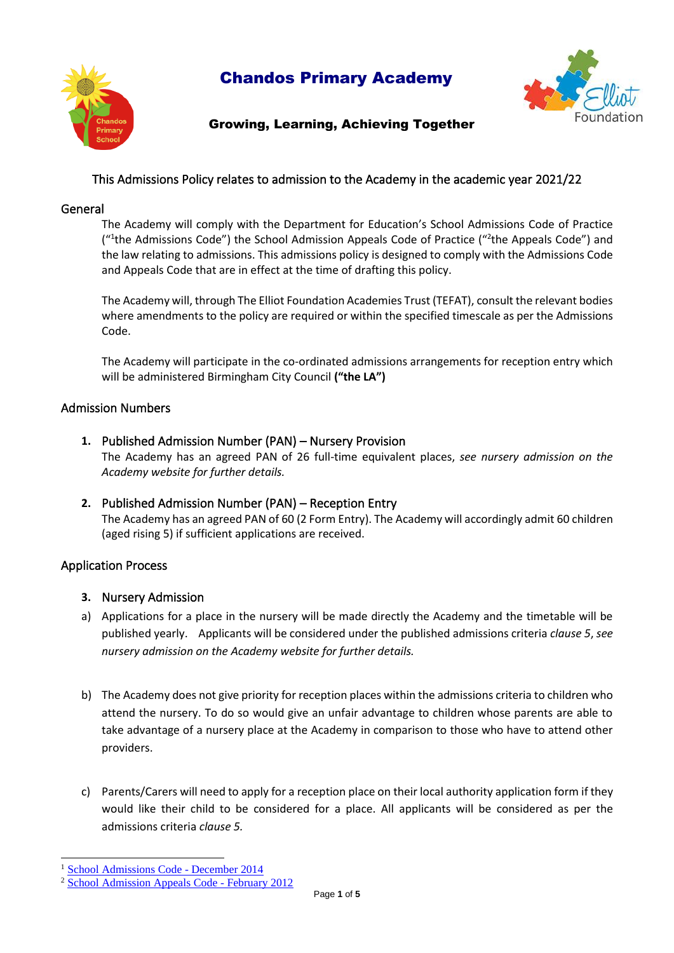

# Chandos Primary Academy



# Growing, Learning, Achieving Together

# This Admissions Policy relates to admission to the Academy in the academic year 2021/22

# General

The Academy will comply with the Department for Education's School Admissions Code of Practice ("<sup>1</sup>the Admissions Code") the School Admission Appeals Code of Practice ("<sup>2</sup>the Appeals Code") and the law relating to admissions. This admissions policy is designed to comply with the Admissions Code and Appeals Code that are in effect at the time of drafting this policy.

The Academy will, through The Elliot Foundation Academies Trust (TEFAT), consult the relevant bodies where amendments to the policy are required or within the specified timescale as per the Admissions Code.

The Academy will participate in the co-ordinated admissions arrangements for reception entry which will be administered Birmingham City Council **("the LA")** 

# Admission Numbers

- **1.** Published Admission Number (PAN) Nursery Provision The Academy has an agreed PAN of 26 full-time equivalent places, *see nursery admission on the Academy website for further details.*
- **2.** Published Admission Number (PAN) Reception Entry The Academy has an agreed PAN of 60 (2 Form Entry). The Academy will accordingly admit 60 children (aged rising 5) if sufficient applications are received.

# Application Process

# **3.** Nursery Admission

- a) Applications for a place in the nursery will be made directly the Academy and the timetable will be published yearly. Applicants will be considered under the published admissions criteria *clause 5*, *see nursery admission on the Academy website for further details.*
- b) The Academy does not give priority for reception places within the admissions criteria to children who attend the nursery. To do so would give an unfair advantage to children whose parents are able to take advantage of a nursery place at the Academy in comparison to those who have to attend other providers.
- c) Parents/Carers will need to apply for a reception place on their local authority application form if they would like their child to be considered for a place. All applicants will be considered as per the admissions criteria *clause 5.*

<sup>&</sup>lt;sup>1</sup> [School Admissions Code](https://www.gov.uk/government/uploads/system/uploads/attachment_data/file/389388/School_Admissions_Code_2014_-_19_Dec.pdf) - December 2014

<sup>2</sup> [School Admission Appeals Code](https://www.gov.uk/government/uploads/system/uploads/attachment_data/file/275897/school_admission_appeals_code_1_february_2012.pdf) - February 2012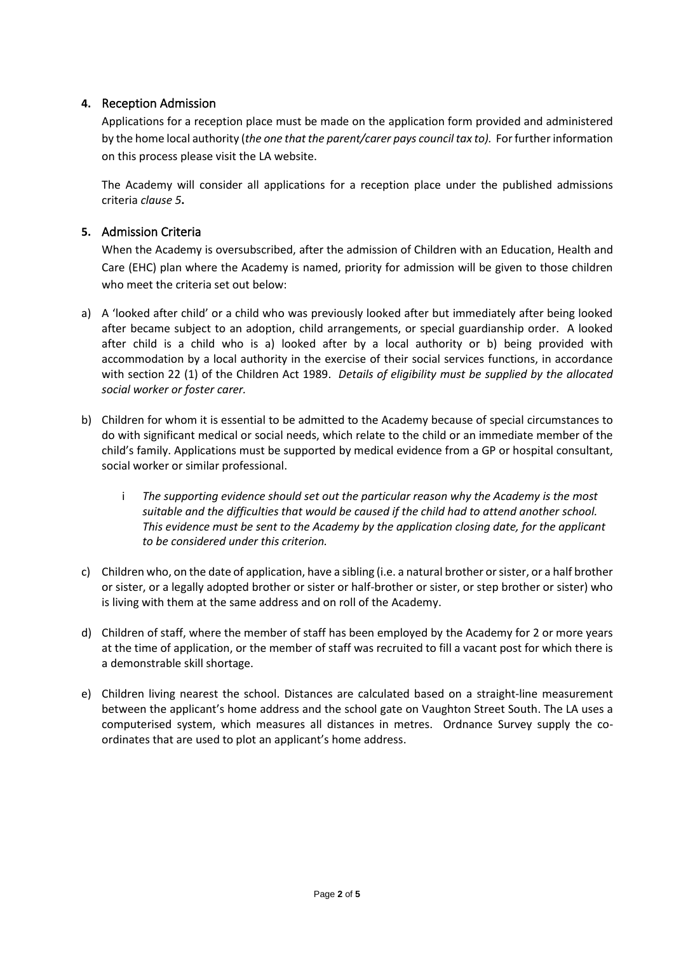# **4.** Reception Admission

Applications for a reception place must be made on the application form provided and administered by the home local authority (*the one that the parent/carer pays council tax to).* For further information on this process please visit the LA website.

The Academy will consider all applications for a reception place under the published admissions criteria *clause 5***.**

# **5.** Admission Criteria

When the Academy is oversubscribed, after the admission of Children with an Education, Health and Care (EHC) plan where the Academy is named, priority for admission will be given to those children who meet the criteria set out below:

- a) A 'looked after child' or a child who was previously looked after but immediately after being looked after became subject to an adoption, child arrangements, or special guardianship order. A looked after child is a child who is a) looked after by a local authority or b) being provided with accommodation by a local authority in the exercise of their social services functions, in accordance with section 22 (1) of the Children Act 1989. *Details of eligibility must be supplied by the allocated social worker or foster carer.*
- b) Children for whom it is essential to be admitted to the Academy because of special circumstances to do with significant medical or social needs, which relate to the child or an immediate member of the child's family. Applications must be supported by medical evidence from a GP or hospital consultant, social worker or similar professional.
	- i *The supporting evidence should set out the particular reason why the Academy is the most suitable and the difficulties that would be caused if the child had to attend another school. This evidence must be sent to the Academy by the application closing date, for the applicant to be considered under this criterion.*
- c) Children who, on the date of application, have a sibling (i.e. a natural brother or sister, or a half brother or sister, or a legally adopted brother or sister or half-brother or sister, or step brother or sister) who is living with them at the same address and on roll of the Academy.
- d) Children of staff, where the member of staff has been employed by the Academy for 2 or more years at the time of application, or the member of staff was recruited to fill a vacant post for which there is a demonstrable skill shortage.
- e) Children living nearest the school. Distances are calculated based on a straight-line measurement between the applicant's home address and the school gate on Vaughton Street South. The LA uses a computerised system, which measures all distances in metres. Ordnance Survey supply the coordinates that are used to plot an applicant's home address.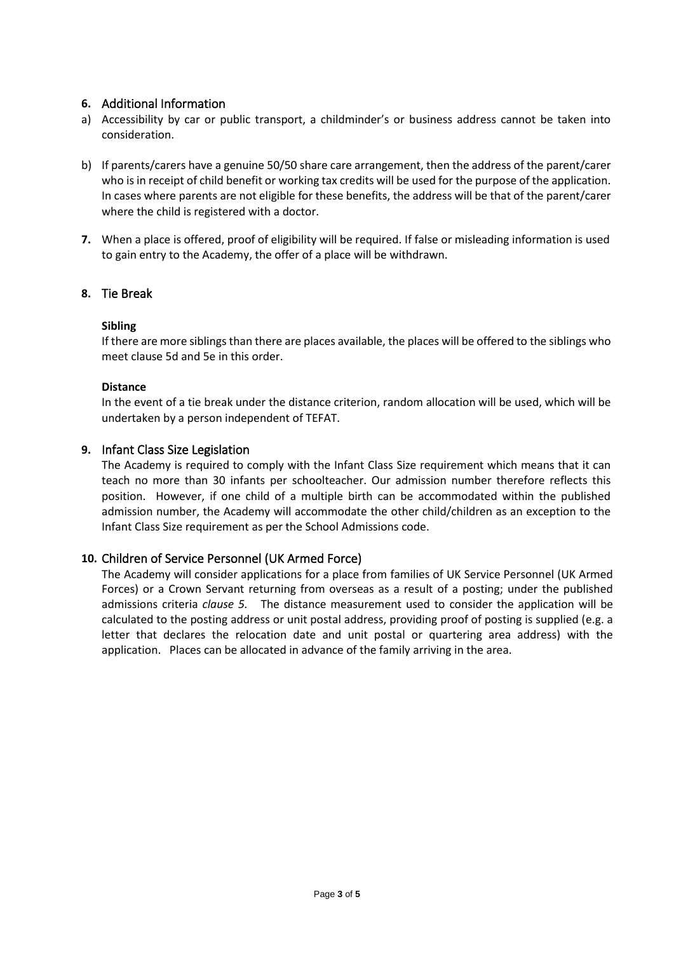# **6.** Additional Information

- a) Accessibility by car or public transport, a childminder's or business address cannot be taken into consideration.
- b) If parents/carers have a genuine 50/50 share care arrangement, then the address of the parent/carer who is in receipt of child benefit or working tax credits will be used for the purpose of the application. In cases where parents are not eligible for these benefits, the address will be that of the parent/carer where the child is registered with a doctor.
- **7.** When a place is offered, proof of eligibility will be required. If false or misleading information is used to gain entry to the Academy, the offer of a place will be withdrawn.

# **8.** Tie Break

#### **Sibling**

If there are more siblings than there are places available, the places will be offered to the siblings who meet clause 5d and 5e in this order.

#### **Distance**

In the event of a tie break under the distance criterion, random allocation will be used, which will be undertaken by a person independent of TEFAT.

#### **9.** Infant Class Size Legislation

The Academy is required to comply with the Infant Class Size requirement which means that it can teach no more than 30 infants per schoolteacher. Our admission number therefore reflects this position. However, if one child of a multiple birth can be accommodated within the published admission number, the Academy will accommodate the other child/children as an exception to the Infant Class Size requirement as per the School Admissions code.

# **10.** Children of Service Personnel (UK Armed Force)

The Academy will consider applications for a place from families of UK Service Personnel (UK Armed Forces) or a Crown Servant returning from overseas as a result of a posting; under the published admissions criteria *clause 5.* The distance measurement used to consider the application will be calculated to the posting address or unit postal address, providing proof of posting is supplied (e.g. a letter that declares the relocation date and unit postal or quartering area address) with the application. Places can be allocated in advance of the family arriving in the area.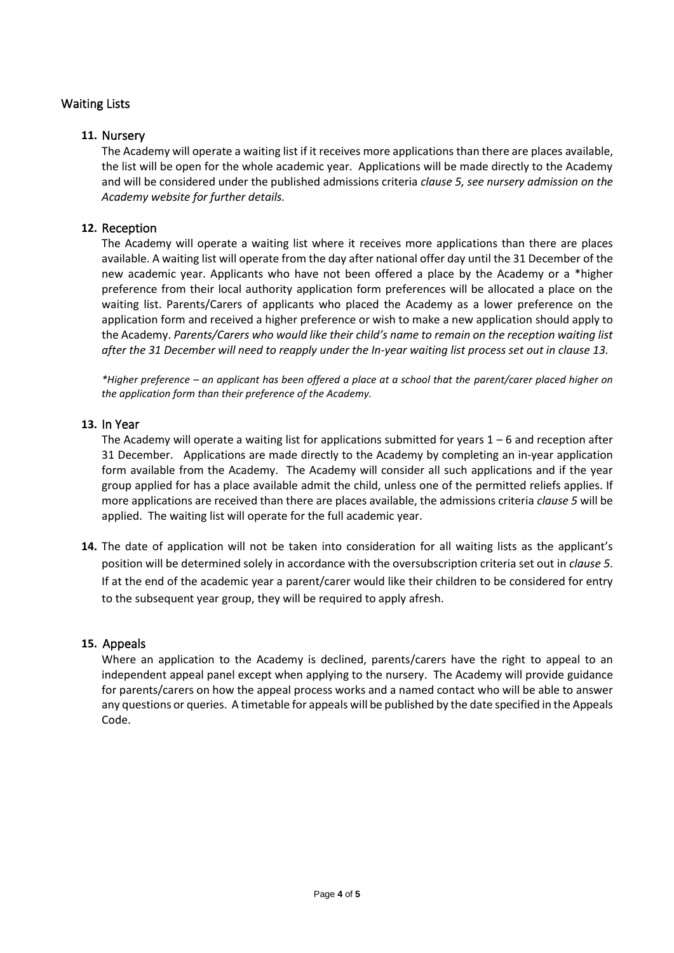# Waiting Lists

### **11.** Nursery

The Academy will operate a waiting list if it receives more applications than there are places available, the list will be open for the whole academic year. Applications will be made directly to the Academy and will be considered under the published admissions criteria *clause 5, see nursery admission on the Academy website for further details.*

#### **12.** Reception

The Academy will operate a waiting list where it receives more applications than there are places available. A waiting list will operate from the day after national offer day until the 31 December of the new academic year. Applicants who have not been offered a place by the Academy or a \*higher preference from their local authority application form preferences will be allocated a place on the waiting list. Parents/Carers of applicants who placed the Academy as a lower preference on the application form and received a higher preference or wish to make a new application should apply to the Academy. *Parents/Carers who would like their child's name to remain on the reception waiting list after the 31 December will need to reapply under the In-year waiting list process set out in clause 13.*

*\*Higher preference – an applicant has been offered a place at a school that the parent/carer placed higher on the application form than their preference of the Academy.* 

#### **13.** In Year

The Academy will operate a waiting list for applications submitted for years  $1 - 6$  and reception after 31 December. Applications are made directly to the Academy by completing an in-year application form available from the Academy. The Academy will consider all such applications and if the year group applied for has a place available admit the child, unless one of the permitted reliefs applies. If more applications are received than there are places available, the admissions criteria *clause 5* will be applied. The waiting list will operate for the full academic year.

**14.** The date of application will not be taken into consideration for all waiting lists as the applicant's position will be determined solely in accordance with the oversubscription criteria set out in *clause 5*. If at the end of the academic year a parent/carer would like their children to be considered for entry to the subsequent year group, they will be required to apply afresh.

#### **15.** Appeals

Where an application to the Academy is declined, parents/carers have the right to appeal to an independent appeal panel except when applying to the nursery. The Academy will provide guidance for parents/carers on how the appeal process works and a named contact who will be able to answer any questions or queries. A timetable for appeals will be published by the date specified in the Appeals Code.